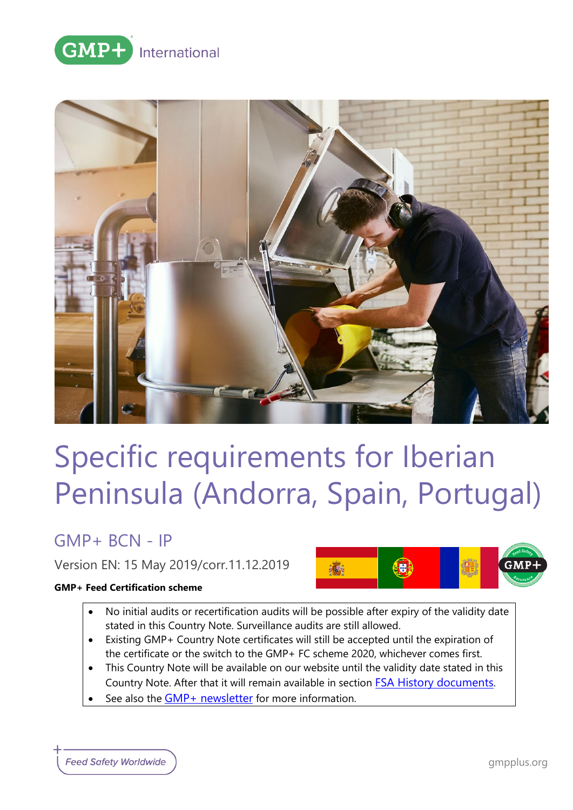



# Specific requirements for Iberian Peninsula (Andorra, Spain, Portugal)

## GMP+ BCN - IP

Version EN: 15 May 2019/corr.11.12.2019

#### **GMP+ Feed Certification scheme**



- No initial audits or recertification audits will be possible after expiry of the validity date stated in this Country Note. Surveillance audits are still allowed.
- Existing GMP+ Country Note certificates will still be accepted until the expiration of the certificate or the switch to the GMP+ FC scheme 2020, whichever comes first.
- This Country Note will be available on our website until the validity date stated in this Country Note. After that it will remain available in section **[FSA History documents](https://www.gmpplus.org/en/feed-certification-scheme/gmp-fsa-certification/fsa-history-documents/).**
- See also the [GMP+ newsletter](https://www.gmpplus.org/en/publications/gmp-news/gmp-country-notes-update/) for more information.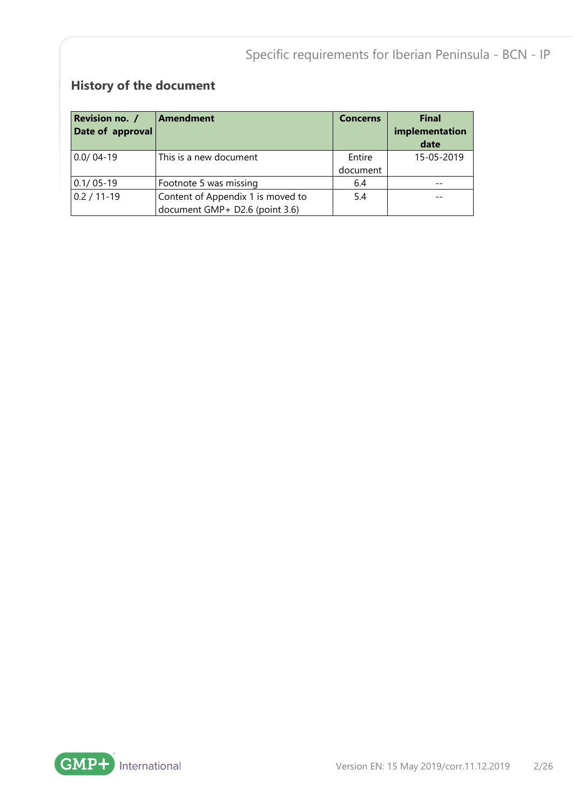## **History of the document**

| Revision no. /<br>Date of approval | Amendment                                                           | <b>Concerns</b>    | <b>Final</b><br>implementation<br>date |
|------------------------------------|---------------------------------------------------------------------|--------------------|----------------------------------------|
| $0.0/04-19$                        | This is a new document                                              | Entire<br>document | 15-05-2019                             |
| $0.1/05 - 19$                      | Footnote 5 was missing                                              | 6.4                |                                        |
| $0.2 / 11 - 19$                    | Content of Appendix 1 is moved to<br>document GMP+ D2.6 (point 3.6) | 5.4                |                                        |

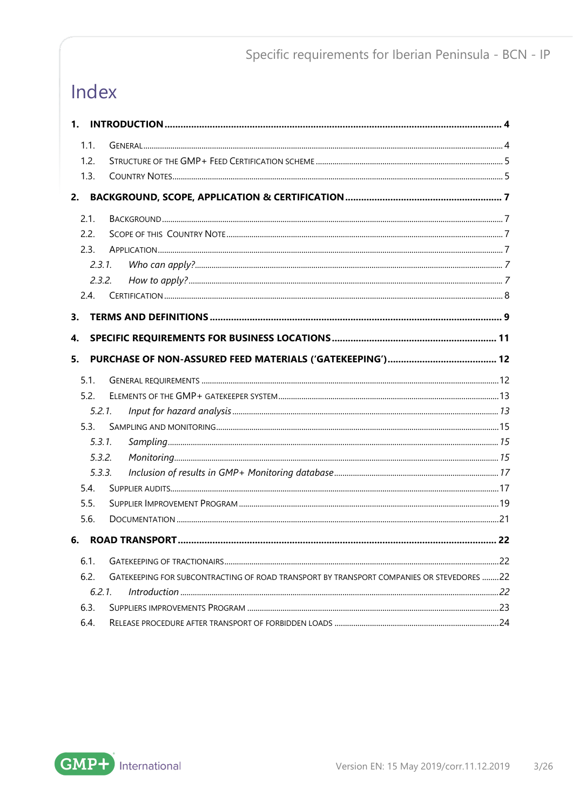## Index

| 1.   |                                                                                                                           |  |
|------|---------------------------------------------------------------------------------------------------------------------------|--|
| 1.1. |                                                                                                                           |  |
| 1.2. |                                                                                                                           |  |
| 1.3. |                                                                                                                           |  |
| 2.   |                                                                                                                           |  |
| 2.1. |                                                                                                                           |  |
| 2.2. |                                                                                                                           |  |
| 2.3. |                                                                                                                           |  |
|      | $2.3.1$ .                                                                                                                 |  |
|      | 2.3.2.                                                                                                                    |  |
| 2.4. |                                                                                                                           |  |
| 3.   |                                                                                                                           |  |
| 4.   |                                                                                                                           |  |
|      |                                                                                                                           |  |
| 5.   |                                                                                                                           |  |
| 5.1. |                                                                                                                           |  |
| 5.2. |                                                                                                                           |  |
|      | $5.2.1$ .                                                                                                                 |  |
| 5.3. |                                                                                                                           |  |
|      | 5.3.1.                                                                                                                    |  |
|      | 5.3.2.                                                                                                                    |  |
|      | 5.3.3.                                                                                                                    |  |
| 5.4. |                                                                                                                           |  |
| 5.5. |                                                                                                                           |  |
| 5.6. |                                                                                                                           |  |
| 6.   |                                                                                                                           |  |
| 6.1. |                                                                                                                           |  |
| 6.2. | GATEKEEPING FOR SUBCONTRACTING OF ROAD TRANSPORT BY TRANSPORT COMPANIES OR STEVEDORES 22                                  |  |
|      | 6.2.1.<br>10. http://www.archive.com/internation-community-community-community-community-community-community-community-22 |  |
| 6.3. |                                                                                                                           |  |
| 6.4. |                                                                                                                           |  |

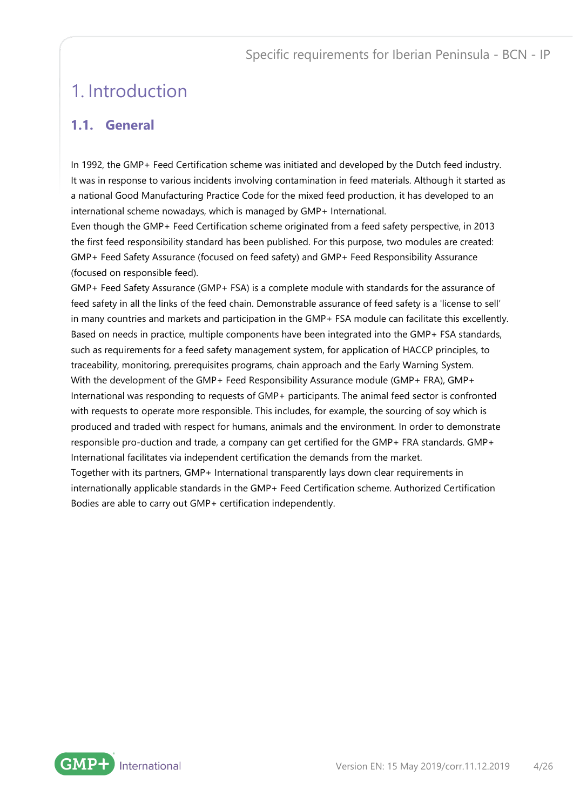## <span id="page-3-0"></span>1. Introduction

## <span id="page-3-1"></span>**1.1. General**

In 1992, the GMP+ Feed Certification scheme was initiated and developed by the Dutch feed industry. It was in response to various incidents involving contamination in feed materials. Although it started as a national Good Manufacturing Practice Code for the mixed feed production, it has developed to an international scheme nowadays, which is managed by GMP+ International.

Even though the GMP+ Feed Certification scheme originated from a feed safety perspective, in 2013 the first feed responsibility standard has been published. For this purpose, two modules are created: GMP+ Feed Safety Assurance (focused on feed safety) and GMP+ Feed Responsibility Assurance (focused on responsible feed).

GMP+ Feed Safety Assurance (GMP+ FSA) is a complete module with standards for the assurance of feed safety in all the links of the feed chain. Demonstrable assurance of feed safety is a 'license to sell' in many countries and markets and participation in the GMP+ FSA module can facilitate this excellently. Based on needs in practice, multiple components have been integrated into the GMP+ FSA standards, such as requirements for a feed safety management system, for application of HACCP principles, to traceability, monitoring, prerequisites programs, chain approach and the Early Warning System. With the development of the GMP+ Feed Responsibility Assurance module (GMP+ FRA), GMP+ International was responding to requests of GMP+ participants. The animal feed sector is confronted with requests to operate more responsible. This includes, for example, the sourcing of soy which is produced and traded with respect for humans, animals and the environment. In order to demonstrate responsible pro-duction and trade, a company can get certified for the GMP+ FRA standards. GMP+ International facilitates via independent certification the demands from the market. Together with its partners, GMP+ International transparently lays down clear requirements in internationally applicable standards in the GMP+ Feed Certification scheme. Authorized Certification

Bodies are able to carry out GMP+ certification independently.

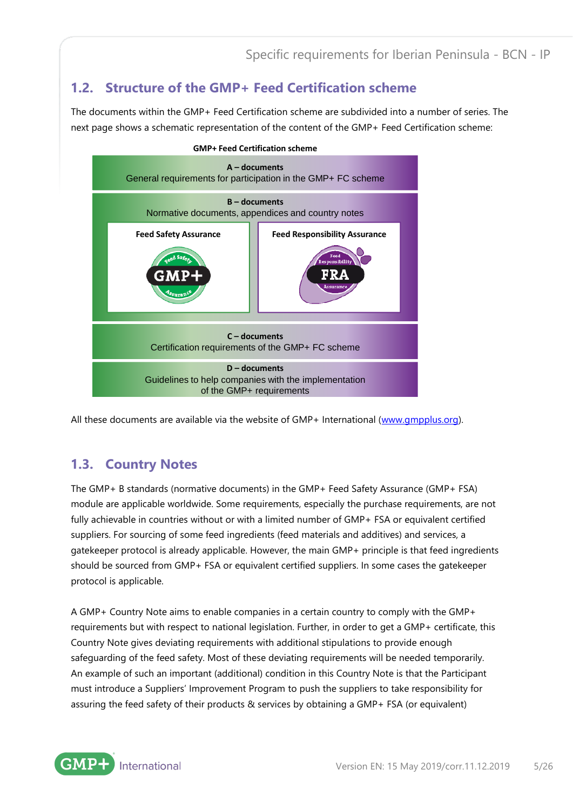## <span id="page-4-0"></span>**1.2. Structure of the GMP+ Feed Certification scheme**

The documents within the GMP+ Feed Certification scheme are subdivided into a number of series. The next page shows a schematic representation of the content of the GMP+ Feed Certification scheme:



All these documents are available via the website of GMP+ International [\(www.gmpplus.org\)](http://www.gmpplus.org/).

### <span id="page-4-1"></span>**1.3. Country Notes**

The GMP+ B standards (normative documents) in the GMP+ Feed Safety Assurance (GMP+ FSA) module are applicable worldwide. Some requirements, especially the purchase requirements, are not fully achievable in countries without or with a limited number of GMP+ FSA or equivalent certified suppliers. For sourcing of some feed ingredients (feed materials and additives) and services, a gatekeeper protocol is already applicable. However, the main GMP+ principle is that feed ingredients should be sourced from GMP+ FSA or equivalent certified suppliers. In some cases the gatekeeper protocol is applicable.

A GMP+ Country Note aims to enable companies in a certain country to comply with the GMP+ requirements but with respect to national legislation. Further, in order to get a GMP+ certificate, this Country Note gives deviating requirements with additional stipulations to provide enough safeguarding of the feed safety. Most of these deviating requirements will be needed temporarily. An example of such an important (additional) condition in this Country Note is that the Participant must introduce a Suppliers' Improvement Program to push the suppliers to take responsibility for assuring the feed safety of their products & services by obtaining a GMP+ FSA (or equivalent)

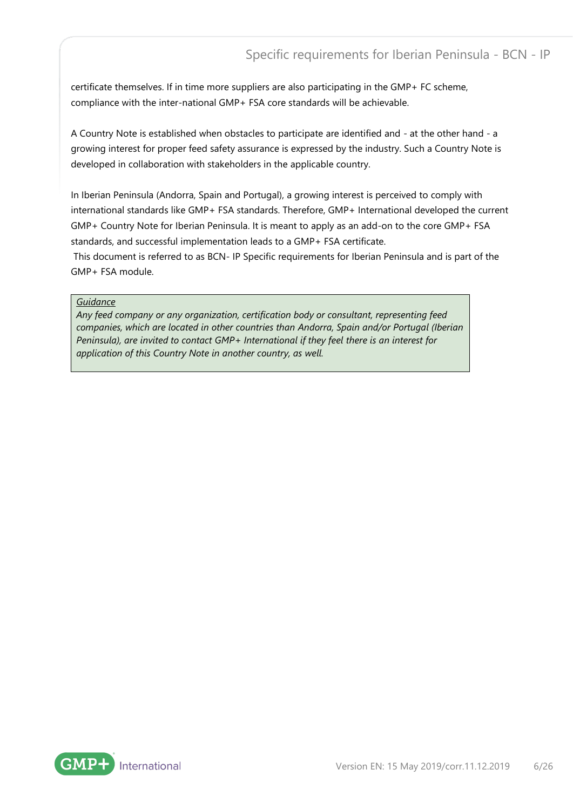certificate themselves. If in time more suppliers are also participating in the GMP+ FC scheme, compliance with the inter-national GMP+ FSA core standards will be achievable.

A Country Note is established when obstacles to participate are identified and - at the other hand - a growing interest for proper feed safety assurance is expressed by the industry. Such a Country Note is developed in collaboration with stakeholders in the applicable country.

In Iberian Peninsula (Andorra, Spain and Portugal), a growing interest is perceived to comply with international standards like GMP+ FSA standards. Therefore, GMP+ International developed the current GMP+ Country Note for Iberian Peninsula. It is meant to apply as an add-on to the core GMP+ FSA standards, and successful implementation leads to a GMP+ FSA certificate.

This document is referred to as BCN- IP Specific requirements for Iberian Peninsula and is part of the GMP+ FSA module.

#### *Guidance*

*Any feed company or any organization, certification body or consultant, representing feed companies, which are located in other countries than Andorra, Spain and/or Portugal (Iberian Peninsula), are invited to contact GMP+ International if they feel there is an interest for application of this Country Note in another country, as well.*

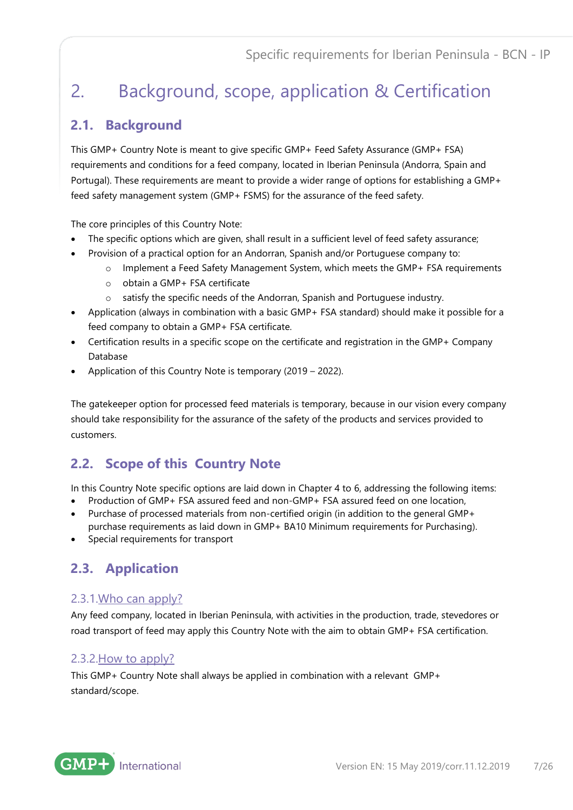## <span id="page-6-0"></span>2. Background, scope, application & Certification

## <span id="page-6-1"></span>**2.1. Background**

This GMP+ Country Note is meant to give specific GMP+ Feed Safety Assurance (GMP+ FSA) requirements and conditions for a feed company, located in Iberian Peninsula (Andorra, Spain and Portugal). These requirements are meant to provide a wider range of options for establishing a GMP+ feed safety management system (GMP+ FSMS) for the assurance of the feed safety.

The core principles of this Country Note:

- The specific options which are given, shall result in a sufficient level of feed safety assurance;
- Provision of a practical option for an Andorran, Spanish and/or Portuguese company to:
	- o Implement a Feed Safety Management System, which meets the GMP+ FSA requirements
	- o obtain a GMP+ FSA certificate
	- o satisfy the specific needs of the Andorran, Spanish and Portuguese industry.
- Application (always in combination with a basic GMP+ FSA standard) should make it possible for a feed company to obtain a GMP+ FSA certificate.
- Certification results in a specific scope on the certificate and registration in the GMP+ Company Database
- Application of this Country Note is temporary (2019 2022).

The gatekeeper option for processed feed materials is temporary, because in our vision every company should take responsibility for the assurance of the safety of the products and services provided to customers.

## <span id="page-6-2"></span>**2.2. Scope of this Country Note**

In this Country Note specific options are laid down in Chapter 4 to 6, addressing the following items:

- Production of GMP+ FSA assured feed and non-GMP+ FSA assured feed on one location,
- Purchase of processed materials from non-certified origin (in addition to the general GMP+ purchase requirements as laid down in GMP+ BA10 Minimum requirements for Purchasing).
- <span id="page-6-3"></span>• Special requirements for transport

## **2.3. Application**

### <span id="page-6-4"></span>2.3.1.Who can apply?

Any feed company, located in Iberian Peninsula, with activities in the production, trade, stevedores or road transport of feed may apply this Country Note with the aim to obtain GMP+ FSA certification.

### <span id="page-6-5"></span>2.3.2.How to apply?

This GMP+ Country Note shall always be applied in combination with a relevant GMP+ standard/scope.

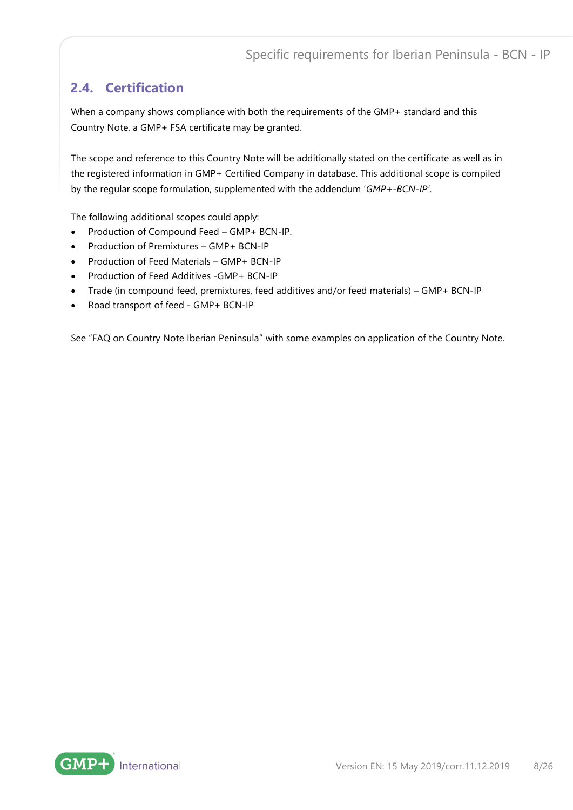## <span id="page-7-0"></span>**2.4. Certification**

When a company shows compliance with both the requirements of the GMP+ standard and this Country Note, a GMP+ FSA certificate may be granted.

The scope and reference to this Country Note will be additionally stated on the certificate as well as in the registered information in GMP+ Certified Company in database. This additional scope is compiled by the regular scope formulation, supplemented with the addendum '*GMP+-BCN-IP'*.

The following additional scopes could apply:

- Production of Compound Feed GMP+ BCN-IP.
- Production of Premixtures GMP+ BCN-IP
- Production of Feed Materials GMP+ BCN-IP
- Production of Feed Additives -GMP+ BCN-IP
- Trade (in compound feed, premixtures, feed additives and/or feed materials) GMP+ BCN-IP
- Road transport of feed GMP+ BCN-IP

See "FAQ on Country Note Iberian Peninsula" with some examples on application of the Country Note.

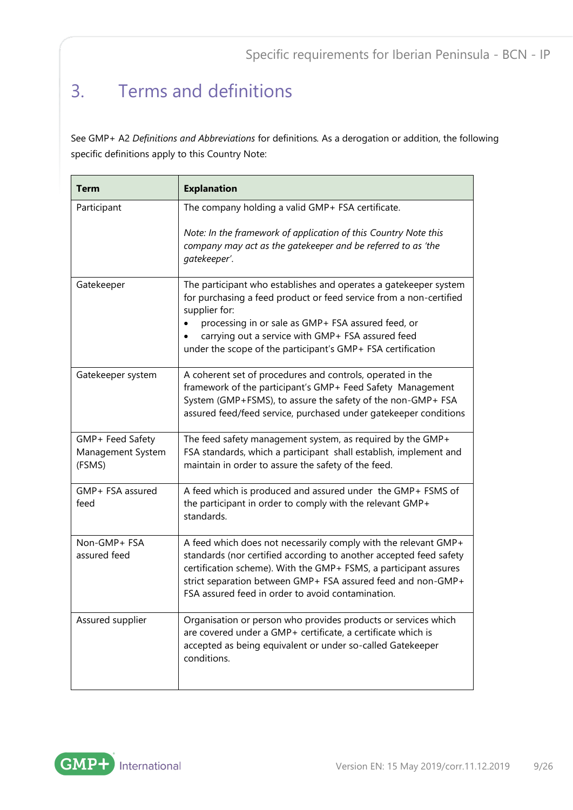## <span id="page-8-0"></span>3. Terms and definitions

See GMP+ A2 *Definitions and Abbreviations* for definitions*.* As a derogation or addition, the following specific definitions apply to this Country Note:

| <b>Term</b>                                     | <b>Explanation</b>                                                                                                                                                                                                                                                                                                                |
|-------------------------------------------------|-----------------------------------------------------------------------------------------------------------------------------------------------------------------------------------------------------------------------------------------------------------------------------------------------------------------------------------|
| Participant                                     | The company holding a valid GMP+ FSA certificate.<br>Note: In the framework of application of this Country Note this<br>company may act as the gatekeeper and be referred to as 'the<br>gatekeeper'.                                                                                                                              |
| Gatekeeper                                      | The participant who establishes and operates a gatekeeper system<br>for purchasing a feed product or feed service from a non-certified<br>supplier for:<br>processing in or sale as GMP+ FSA assured feed, or<br>carrying out a service with GMP+ FSA assured feed<br>under the scope of the participant's GMP+ FSA certification |
| Gatekeeper system                               | A coherent set of procedures and controls, operated in the<br>framework of the participant's GMP+ Feed Safety Management<br>System (GMP+FSMS), to assure the safety of the non-GMP+ FSA<br>assured feed/feed service, purchased under gatekeeper conditions                                                                       |
| GMP+ Feed Safety<br>Management System<br>(FSMS) | The feed safety management system, as required by the GMP+<br>FSA standards, which a participant shall establish, implement and<br>maintain in order to assure the safety of the feed.                                                                                                                                            |
| GMP+ FSA assured<br>feed                        | A feed which is produced and assured under the GMP+ FSMS of<br>the participant in order to comply with the relevant GMP+<br>standards.                                                                                                                                                                                            |
| Non-GMP+ FSA<br>assured feed                    | A feed which does not necessarily comply with the relevant GMP+<br>standards (nor certified according to another accepted feed safety<br>certification scheme). With the GMP+ FSMS, a participant assures<br>strict separation between GMP+ FSA assured feed and non-GMP+<br>FSA assured feed in order to avoid contamination.    |
| Assured supplier                                | Organisation or person who provides products or services which<br>are covered under a GMP+ certificate, a certificate which is<br>accepted as being equivalent or under so-called Gatekeeper<br>conditions.                                                                                                                       |

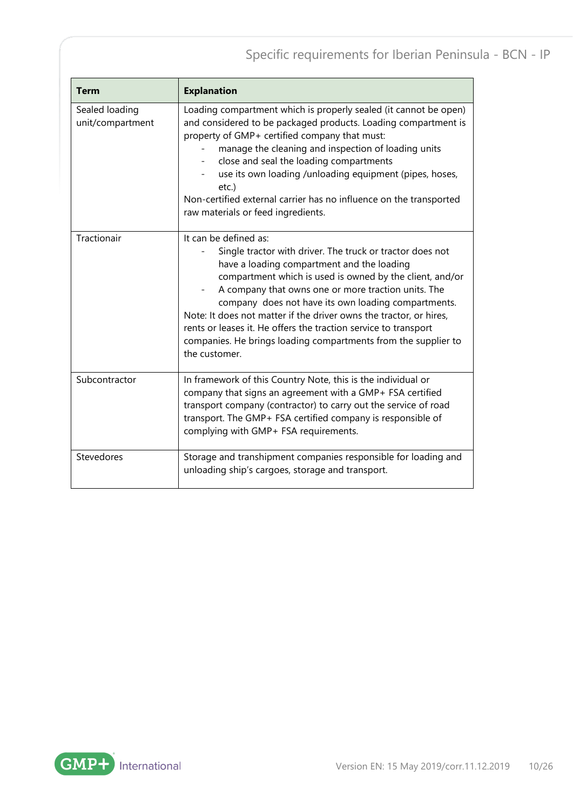| <b>Term</b>                        | <b>Explanation</b>                                                                                                                                                                                                                                                                                                                                                                                                                                                                                                                     |  |
|------------------------------------|----------------------------------------------------------------------------------------------------------------------------------------------------------------------------------------------------------------------------------------------------------------------------------------------------------------------------------------------------------------------------------------------------------------------------------------------------------------------------------------------------------------------------------------|--|
| Sealed loading<br>unit/compartment | Loading compartment which is properly sealed (it cannot be open)<br>and considered to be packaged products. Loading compartment is<br>property of GMP+ certified company that must:<br>manage the cleaning and inspection of loading units<br>close and seal the loading compartments<br>$\overline{\phantom{0}}$<br>use its own loading /unloading equipment (pipes, hoses,<br>etc.)<br>Non-certified external carrier has no influence on the transported<br>raw materials or feed ingredients.                                      |  |
| Tractionair                        | It can be defined as:<br>Single tractor with driver. The truck or tractor does not<br>have a loading compartment and the loading<br>compartment which is used is owned by the client, and/or<br>A company that owns one or more traction units. The<br>company does not have its own loading compartments.<br>Note: It does not matter if the driver owns the tractor, or hires,<br>rents or leases it. He offers the traction service to transport<br>companies. He brings loading compartments from the supplier to<br>the customer. |  |
| Subcontractor                      | In framework of this Country Note, this is the individual or<br>company that signs an agreement with a GMP+ FSA certified<br>transport company (contractor) to carry out the service of road<br>transport. The GMP+ FSA certified company is responsible of<br>complying with GMP+ FSA requirements.                                                                                                                                                                                                                                   |  |
| Stevedores                         | Storage and transhipment companies responsible for loading and<br>unloading ship's cargoes, storage and transport.                                                                                                                                                                                                                                                                                                                                                                                                                     |  |

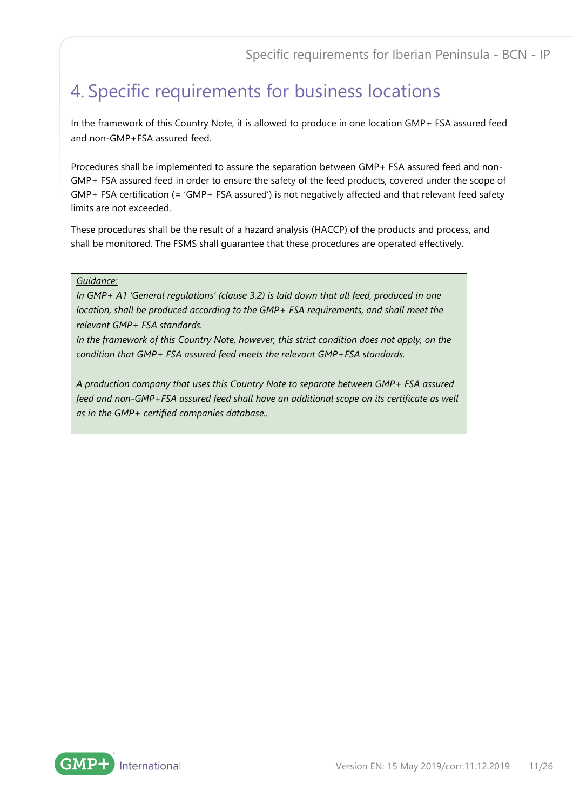## <span id="page-10-0"></span>4. Specific requirements for business locations

In the framework of this Country Note, it is allowed to produce in one location GMP+ FSA assured feed and non-GMP+FSA assured feed.

Procedures shall be implemented to assure the separation between GMP+ FSA assured feed and non-GMP+ FSA assured feed in order to ensure the safety of the feed products, covered under the scope of GMP+ FSA certification (= 'GMP+ FSA assured') is not negatively affected and that relevant feed safety limits are not exceeded.

These procedures shall be the result of a hazard analysis (HACCP) of the products and process, and shall be monitored. The FSMS shall guarantee that these procedures are operated effectively.

#### *Guidance:*

*In GMP+ A1 'General regulations' (clause 3.2) is laid down that all feed, produced in one location, shall be produced according to the GMP+ FSA requirements, and shall meet the relevant GMP+ FSA standards.*

*In the framework of this Country Note, however, this strict condition does not apply, on the condition that GMP+ FSA assured feed meets the relevant GMP+FSA standards.*

*A production company that uses this Country Note to separate between GMP+ FSA assured feed and non-GMP+FSA assured feed shall have an additional scope on its certificate as well as in the GMP+ certified companies database..*

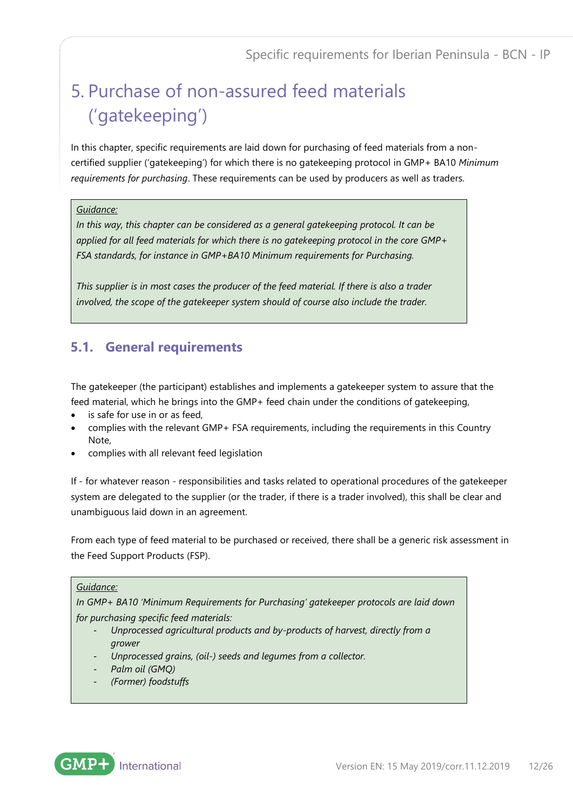## <span id="page-11-0"></span>5. Purchase of non-assured feed materials ('gatekeeping')

In this chapter, specific requirements are laid down for purchasing of feed materials from a noncertified supplier ('gatekeeping') for which there is no gatekeeping protocol in GMP+ BA10 *Minimum requirements for purchasing*. These requirements can be used by producers as well as traders.

#### *Guidance:*

*In this way, this chapter can be considered as a general gatekeeping protocol. It can be applied for all feed materials for which there is no gatekeeping protocol in the core GMP+ FSA standards, for instance in GMP+BA10 Minimum requirements for Purchasing.* 

*This supplier is in most cases the producer of the feed material. If there is also a trader involved, the scope of the gatekeeper system should of course also include the trader.*

## <span id="page-11-1"></span>**5.1. General requirements**

The gatekeeper (the participant) establishes and implements a gatekeeper system to assure that the feed material, which he brings into the GMP+ feed chain under the conditions of gatekeeping,

- is safe for use in or as feed,
- complies with the relevant GMP+ FSA requirements, including the requirements in this Country Note,
- complies with all relevant feed legislation

If - for whatever reason - responsibilities and tasks related to operational procedures of the gatekeeper system are delegated to the supplier (or the trader, if there is a trader involved), this shall be clear and unambiguous laid down in an agreement.

From each type of feed material to be purchased or received, there shall be a generic risk assessment in the Feed Support Products (FSP).

#### *Guidance:*

*In GMP+ BA10 'Minimum Requirements for Purchasing' gatekeeper protocols are laid down for purchasing specific feed materials:*

- *Unprocessed agricultural products and by-products of harvest, directly from a grower*
- *Unprocessed grains, (oil-) seeds and legumes from a collector.*
- *Palm oil (GMQ)*
- *(Former) foodstuffs*

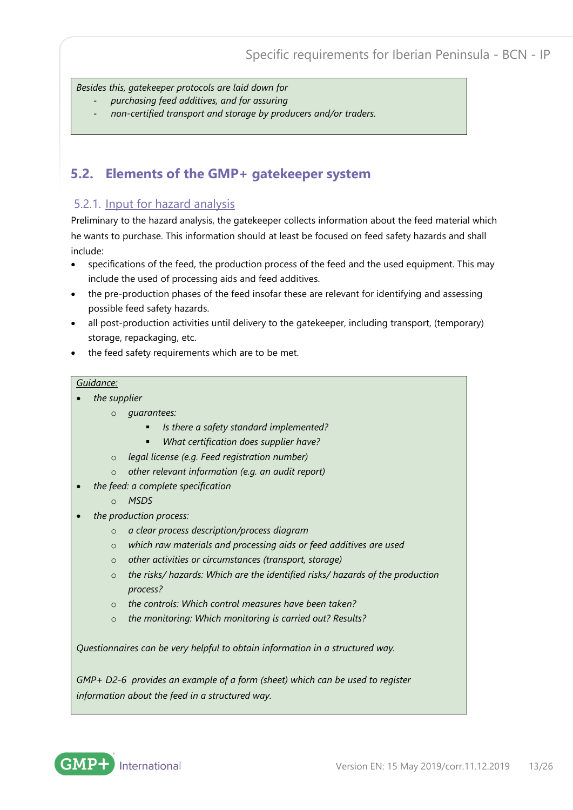*Besides this, gatekeeper protocols are laid down for* 

- *purchasing feed additives, and for assuring*
- *non-certified transport and storage by producers and/or traders.*

## <span id="page-12-0"></span>**5.2. Elements of the GMP+ gatekeeper system**

#### <span id="page-12-1"></span>5.2.1. Input for hazard analysis

Preliminary to the hazard analysis, the gatekeeper collects information about the feed material which he wants to purchase. This information should at least be focused on feed safety hazards and shall include:

- specifications of the feed, the production process of the feed and the used equipment. This may include the used of processing aids and feed additives.
- the pre-production phases of the feed insofar these are relevant for identifying and assessing possible feed safety hazards.
- all post-production activities until delivery to the gatekeeper, including transport, (temporary) storage, repackaging, etc.
- the feed safety requirements which are to be met.

#### *Guidance:*

- *the supplier*
	- o *guarantees:* 
		- *Is there a safety standard implemented?*
		- *What certification does supplier have?*
	- o *legal license (e.g. Feed registration number)*
	- o *other relevant information (e.g. an audit report)*
- *the feed: a complete specification*
	- o *MSDS*
- *the production process:*
	- o *a clear process description/process diagram*
	- o *which raw materials and processing aids or feed additives are used*
	- o *other activities or circumstances (transport, storage)*
	- o *the risks/ hazards: Which are the identified risks/ hazards of the production process?*
	- o *the controls: Which control measures have been taken?*
	- o *the monitoring: Which monitoring is carried out? Results?*

*Questionnaires can be very helpful to obtain information in a structured way.* 

*GMP+ D2-6 provides an example of a form (sheet) which can be used to register information about the feed in a structured way.*

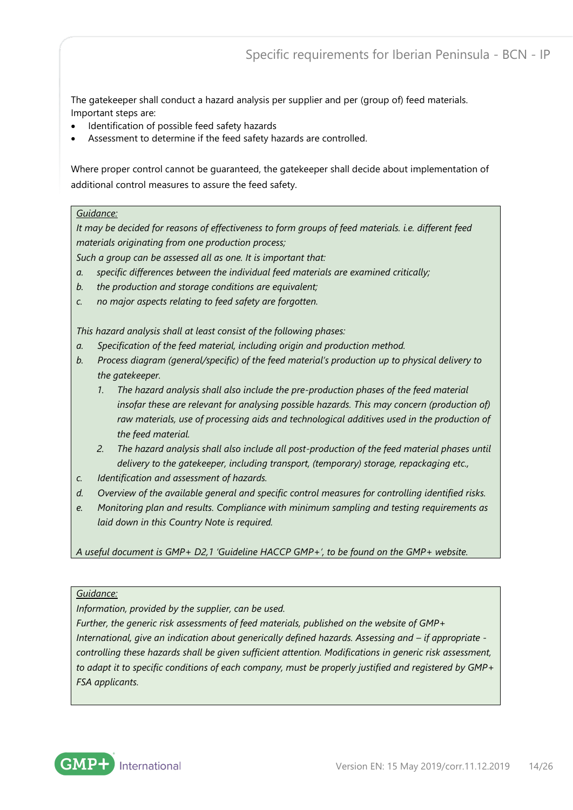The gatekeeper shall conduct a hazard analysis per supplier and per (group of) feed materials. Important steps are:

- Identification of possible feed safety hazards
- Assessment to determine if the feed safety hazards are controlled.

Where proper control cannot be guaranteed, the gatekeeper shall decide about implementation of additional control measures to assure the feed safety.

#### *Guidance:*

*It may be decided for reasons of effectiveness to form groups of feed materials. i.e. different feed materials originating from one production process;* 

*Such a group can be assessed all as one. It is important that:*

- *a. specific differences between the individual feed materials are examined critically;*
- *b. the production and storage conditions are equivalent;*
- *c. no major aspects relating to feed safety are forgotten.*

*This hazard analysis shall at least consist of the following phases:*

- *a. Specification of the feed material, including origin and production method.*
- *b. Process diagram (general/specific) of the feed material's production up to physical delivery to the gatekeeper.* 
	- *1. The hazard analysis shall also include the pre-production phases of the feed material insofar these are relevant for analysing possible hazards. This may concern (production of) raw materials, use of processing aids and technological additives used in the production of the feed material.*
	- *2. The hazard analysis shall also include all post-production of the feed material phases until delivery to the gatekeeper, including transport, (temporary) storage, repackaging etc.,*
- *c. Identification and assessment of hazards.*
- *d. Overview of the available general and specific control measures for controlling identified risks.*
- *e. Monitoring plan and results. Compliance with minimum sampling and testing requirements as laid down in this Country Note is required.*

*A useful document is GMP+ D2,1 'Guideline HACCP GMP+', to be found on the GMP+ website.*

#### *Guidance:*

*Information, provided by the supplier, can be used.* 

*Further, the generic risk assessments of feed materials, published on the website of GMP+ International, give an indication about generically defined hazards. Assessing and – if appropriate controlling these hazards shall be given sufficient attention. Modifications in generic risk assessment, to adapt it to specific conditions of each company, must be properly justified and registered by GMP+ FSA applicants.*

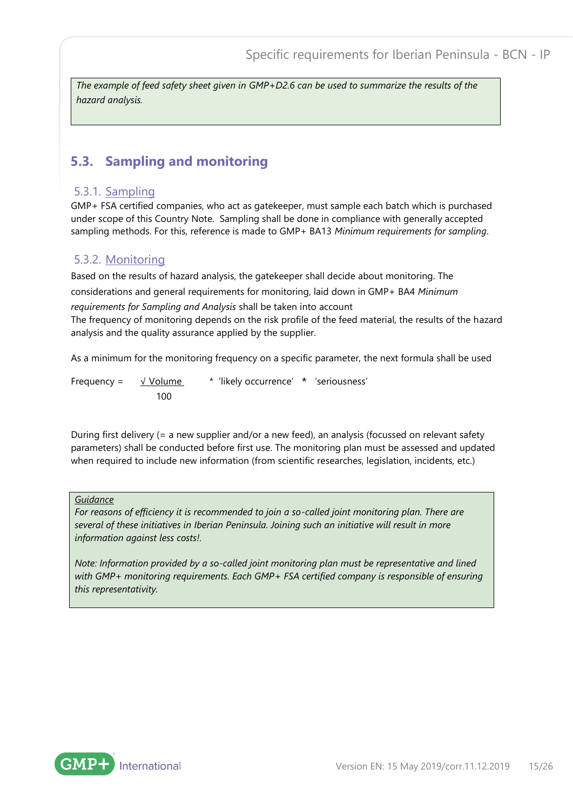*The example of feed safety sheet given in GMP+D2.6 can be used to summarize the results of the hazard analysis.*

### <span id="page-14-0"></span>**5.3. Sampling and monitoring**

#### <span id="page-14-1"></span>5.3.1. Sampling

GMP+ FSA certified companies, who act as gatekeeper, must sample each batch which is purchased under scope of this Country Note. Sampling shall be done in compliance with generally accepted sampling methods. For this, reference is made to GMP+ BA13 *Minimum requirements for sampling*.

### <span id="page-14-2"></span>5.3.2. Monitoring

Based on the results of hazard analysis, the gatekeeper shall decide about monitoring. The considerations and general requirements for monitoring, laid down in GMP+ BA4 *Minimum requirements for Sampling and Analysis* shall be taken into account The frequency of monitoring depends on the risk profile of the feed material, the results of the hazard analysis and the quality assurance applied by the supplier.

As a minimum for the monitoring frequency on a specific parameter, the next formula shall be used

Frequency =  $\sqrt{V}$  Volume  $\sqrt{V}$  'likely occurrence'  $\sqrt{V}$  'seriousness' 100

During first delivery (= a new supplier and/or a new feed), an analysis (focussed on relevant safety parameters) shall be conducted before first use. The monitoring plan must be assessed and updated when required to include new information (from scientific researches, legislation, incidents, etc.)

#### *Guidance*

*For reasons of efficiency it is recommended to join a so-called joint monitoring plan. There are several of these initiatives in Iberian Peninsula. Joining such an initiative will result in more information against less costs!.* 

*Note: Information provided by a so-called joint monitoring plan must be representative and lined with GMP+ monitoring requirements. Each GMP+ FSA certified company is responsible of ensuring this representativity.*

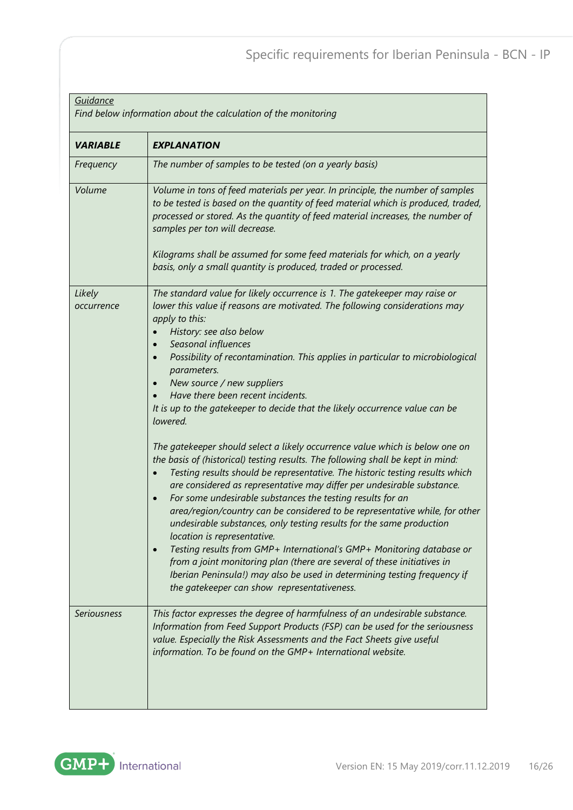| Guidance<br>Find below information about the calculation of the monitoring |                                                                                                                                                                                                                                                                                                                                                                                                                                                                                                                                                                                                                                                                                                                                                                                                                                                                                                                                                                                                                                                                                                                                                                                                                                                                                                                                                                                                     |  |
|----------------------------------------------------------------------------|-----------------------------------------------------------------------------------------------------------------------------------------------------------------------------------------------------------------------------------------------------------------------------------------------------------------------------------------------------------------------------------------------------------------------------------------------------------------------------------------------------------------------------------------------------------------------------------------------------------------------------------------------------------------------------------------------------------------------------------------------------------------------------------------------------------------------------------------------------------------------------------------------------------------------------------------------------------------------------------------------------------------------------------------------------------------------------------------------------------------------------------------------------------------------------------------------------------------------------------------------------------------------------------------------------------------------------------------------------------------------------------------------------|--|
| <b>VARIABLE</b>                                                            | <b>EXPLANATION</b>                                                                                                                                                                                                                                                                                                                                                                                                                                                                                                                                                                                                                                                                                                                                                                                                                                                                                                                                                                                                                                                                                                                                                                                                                                                                                                                                                                                  |  |
| Frequency                                                                  | The number of samples to be tested (on a yearly basis)                                                                                                                                                                                                                                                                                                                                                                                                                                                                                                                                                                                                                                                                                                                                                                                                                                                                                                                                                                                                                                                                                                                                                                                                                                                                                                                                              |  |
| Volume                                                                     | Volume in tons of feed materials per year. In principle, the number of samples<br>to be tested is based on the quantity of feed material which is produced, traded,<br>processed or stored. As the quantity of feed material increases, the number of<br>samples per ton will decrease.<br>Kilograms shall be assumed for some feed materials for which, on a yearly<br>basis, only a small quantity is produced, traded or processed.                                                                                                                                                                                                                                                                                                                                                                                                                                                                                                                                                                                                                                                                                                                                                                                                                                                                                                                                                              |  |
| Likely<br>occurrence                                                       | The standard value for likely occurrence is 1. The gatekeeper may raise or<br>lower this value if reasons are motivated. The following considerations may<br>apply to this:<br>History: see also below<br>Seasonal influences<br>Possibility of recontamination. This applies in particular to microbiological<br>$\bullet$<br>parameters.<br>New source / new suppliers<br>Have there been recent incidents.<br>It is up to the gatekeeper to decide that the likely occurrence value can be<br>lowered.<br>The gatekeeper should select a likely occurrence value which is below one on<br>the basis of (historical) testing results. The following shall be kept in mind:<br>Testing results should be representative. The historic testing results which<br>are considered as representative may differ per undesirable substance.<br>For some undesirable substances the testing results for an<br>$\bullet$<br>area/region/country can be considered to be representative while, for other<br>undesirable substances, only testing results for the same production<br>location is representative.<br>Testing results from GMP+ International's GMP+ Monitoring database or<br>$\bullet$<br>from a joint monitoring plan (there are several of these initiatives in<br>Iberian Peninsula!) may also be used in determining testing frequency if<br>the gatekeeper can show representativeness. |  |
| <b>Seriousness</b>                                                         | This factor expresses the degree of harmfulness of an undesirable substance.<br>Information from Feed Support Products (FSP) can be used for the seriousness<br>value. Especially the Risk Assessments and the Fact Sheets give useful<br>information. To be found on the GMP+ International website.                                                                                                                                                                                                                                                                                                                                                                                                                                                                                                                                                                                                                                                                                                                                                                                                                                                                                                                                                                                                                                                                                               |  |

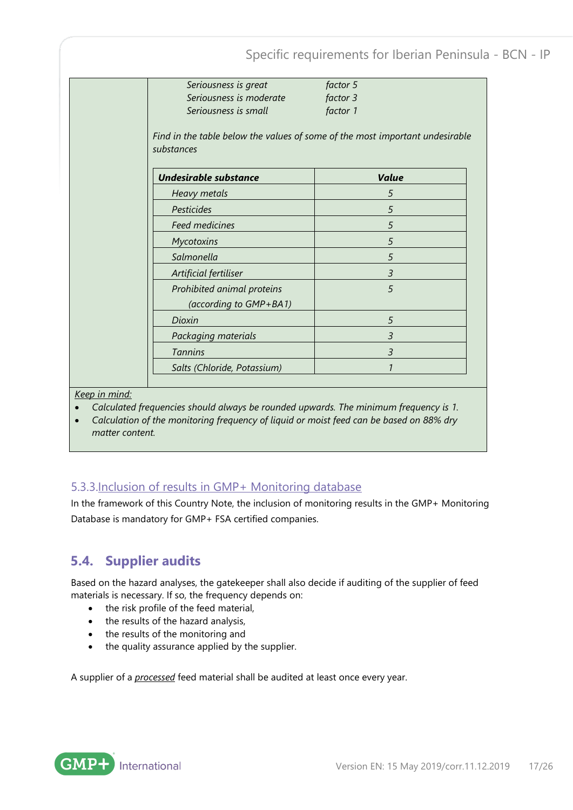Specific requirements for Iberian Peninsula - BCN - IP *Seriousness is great factor 5 Seriousness is moderate factor 3 Seriousness is small factor 1 Find in the table below the values of some of the most important undesirable substances Undesirable substance Value Heavy metals 5 Pesticides 5 Feed medicines 5 Mycotoxins 5 Salmonella 5 Artificial fertiliser 3 Prohibited animal proteins (according to GMP+BA1) 5 Dioxin 5 Packaging materials 3 Tannins 3 Salts (Chloride, Potassium) 1*

*Keep in mind:*

- *Calculated frequencies should always be rounded upwards. The minimum frequency is 1.*
- *Calculation of the monitoring frequency of liquid or moist feed can be based on 88% dry matter content.*

### <span id="page-16-0"></span>5.3.3.Inclusion of results in GMP+ Monitoring database

In the framework of this Country Note, the inclusion of monitoring results in the GMP+ Monitoring Database is mandatory for GMP+ FSA certified companies.

## <span id="page-16-1"></span>**5.4. Supplier audits**

Based on the hazard analyses, the gatekeeper shall also decide if auditing of the supplier of feed materials is necessary. If so, the frequency depends on:

- the risk profile of the feed material,
- the results of the hazard analysis,
- the results of the monitoring and
- the quality assurance applied by the supplier.

A supplier of a *processed* feed material shall be audited at least once every year.

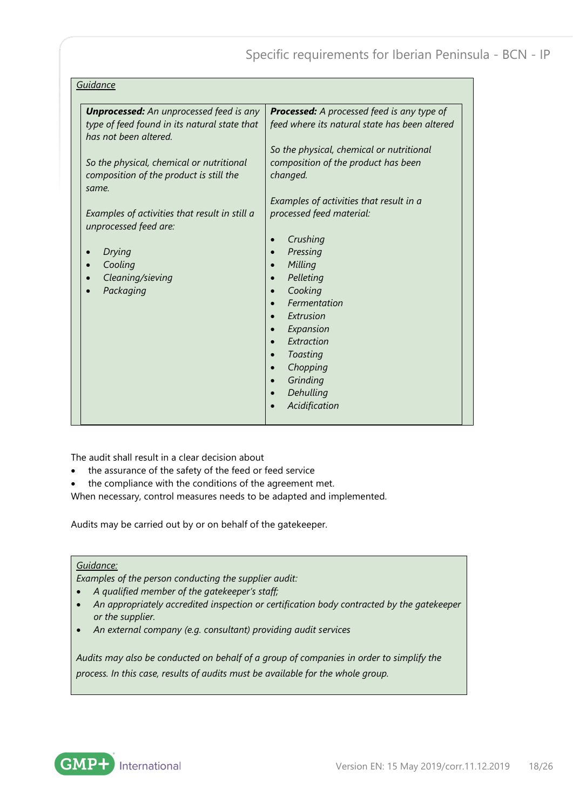| <b>Unprocessed:</b> An unprocessed feed is any                         | <b>Processed:</b> A processed feed is any type of |
|------------------------------------------------------------------------|---------------------------------------------------|
| type of feed found in its natural state that<br>has not been altered.  | feed where its natural state has been altered     |
|                                                                        | So the physical, chemical or nutritional          |
| So the physical, chemical or nutritional                               | composition of the product has been               |
| composition of the product is still the                                | changed.                                          |
| same.                                                                  | Examples of activities that result in a           |
| Examples of activities that result in still a<br>unprocessed feed are: | processed feed material:                          |
|                                                                        | Crushing                                          |
| Drying                                                                 | Pressing                                          |
| Cooling                                                                | Milling                                           |
| Cleaning/sieving                                                       | Pelleting                                         |
| Packaging                                                              | Cooking                                           |
|                                                                        | Fermentation                                      |
|                                                                        | Extrusion                                         |
|                                                                        | Expansion                                         |
|                                                                        | Extraction                                        |
|                                                                        | Toasting                                          |
|                                                                        | Chopping                                          |
|                                                                        | Grinding                                          |
|                                                                        | Dehulling                                         |
|                                                                        | Acidification                                     |

The audit shall result in a clear decision about

- the assurance of the safety of the feed or feed service
- the compliance with the conditions of the agreement met.

When necessary, control measures needs to be adapted and implemented.

Audits may be carried out by or on behalf of the gatekeeper.

#### *Guidance:*

*Examples of the person conducting the supplier audit:* 

- *A qualified member of the gatekeeper's staff;*
- *An appropriately accredited inspection or certification body contracted by the gatekeeper or the supplier.*
- *An external company (e.g. consultant) providing audit services*

*Audits may also be conducted on behalf of a group of companies in order to simplify the process. In this case, results of audits must be available for the whole group.*

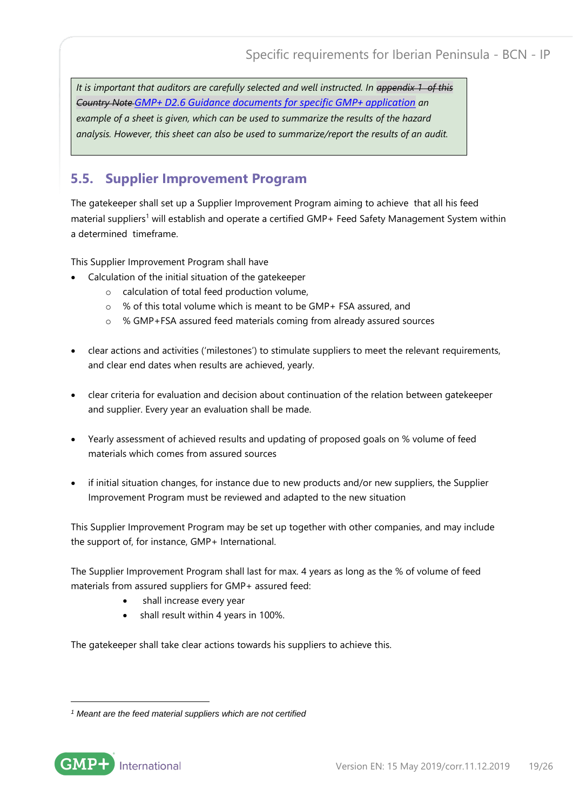*It is important that auditors are carefully selected and well instructed. In appendix 1 of this Country Note [GMP+ D2.6 Guidance documents for specific GMP+ application](https://www.gmpplus.org/media/2314/gmpplus-d26-en-20190301.pdf) an example of a sheet is given, which can be used to summarize the results of the hazard analysis. However, this sheet can also be used to summarize/report the results of an audit.*

## <span id="page-18-0"></span>**5.5. Supplier Improvement Program**

The gatekeeper shall set up a Supplier Improvement Program aiming to achieve that all his feed material suppliers<sup>1</sup> will establish and operate a certified GMP+ Feed Safety Management System within a determined timeframe.

This Supplier Improvement Program shall have

- Calculation of the initial situation of the gatekeeper
	- o calculation of total feed production volume,
	- o % of this total volume which is meant to be GMP+ FSA assured, and
	- o % GMP+FSA assured feed materials coming from already assured sources
- clear actions and activities ('milestones') to stimulate suppliers to meet the relevant requirements, and clear end dates when results are achieved, yearly.
- clear criteria for evaluation and decision about continuation of the relation between gatekeeper and supplier. Every year an evaluation shall be made.
- Yearly assessment of achieved results and updating of proposed goals on % volume of feed materials which comes from assured sources
- if initial situation changes, for instance due to new products and/or new suppliers, the Supplier Improvement Program must be reviewed and adapted to the new situation

This Supplier Improvement Program may be set up together with other companies, and may include the support of, for instance, GMP+ International.

The Supplier Improvement Program shall last for max. 4 years as long as the % of volume of feed materials from assured suppliers for GMP+ assured feed:

- shall increase every year
- shall result within 4 years in 100%.

The gatekeeper shall take clear actions towards his suppliers to achieve this.

*<sup>1</sup> Meant are the feed material suppliers which are not certified*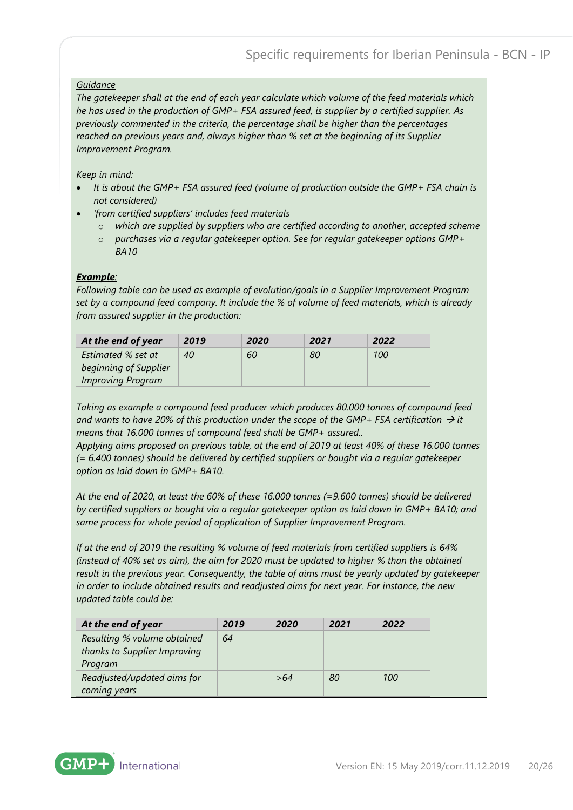#### *Guidance*

*The gatekeeper shall at the end of each year calculate which volume of the feed materials which he has used in the production of GMP+ FSA assured feed, is supplier by a certified supplier. As previously commented in the criteria, the percentage shall be higher than the percentages reached on previous years and, always higher than % set at the beginning of its Supplier Improvement Program.*

#### *Keep in mind:*

- *It is about the GMP+ FSA assured feed (volume of production outside the GMP+ FSA chain is not considered)*
- *'from certified suppliers' includes feed materials* 
	- o *which are supplied by suppliers who are certified according to another, accepted scheme*
	- o *purchases via a regular gatekeeper option. See for regular gatekeeper options GMP+ BA10*

#### *Example:*

*Following table can be used as example of evolution/goals in a Supplier Improvement Program set by a compound feed company. It include the % of volume of feed materials, which is already from assured supplier in the production:* 

| At the end of year       | 2019 | 2020 | 2021 | 2022       |
|--------------------------|------|------|------|------------|
| Estimated % set at       | 40   | 60   | 80   | <i>100</i> |
| beginning of Supplier    |      |      |      |            |
| <b>Improving Program</b> |      |      |      |            |

*Taking as example a compound feed producer which produces 80.000 tonnes of compound feed*  and wants to have 20% of this production under the scope of the GMP+ FSA certification  $\rightarrow$  *it means that 16.000 tonnes of compound feed shall be GMP+ assured..*

*Applying aims proposed on previous table, at the end of 2019 at least 40% of these 16.000 tonnes (= 6.400 tonnes) should be delivered by certified suppliers or bought via a regular gatekeeper option as laid down in GMP+ BA10.*

*At the end of 2020, at least the 60% of these 16.000 tonnes (=9.600 tonnes) should be delivered by certified suppliers or bought via a regular gatekeeper option as laid down in GMP+ BA10; and same process for whole period of application of Supplier Improvement Program.* 

*If at the end of 2019 the resulting % volume of feed materials from certified suppliers is 64% (instead of 40% set as aim), the aim for 2020 must be updated to higher % than the obtained result in the previous year. Consequently, the table of aims must be yearly updated by gatekeeper in order to include obtained results and readjusted aims for next year. For instance, the new updated table could be:*

| At the end of year           | 2019 | 2020 | 2021 | 2022       |
|------------------------------|------|------|------|------------|
| Resulting % volume obtained  | 64   |      |      |            |
| thanks to Supplier Improving |      |      |      |            |
| Program                      |      |      |      |            |
| Readjusted/updated aims for  |      | >64  | 80   | <i>100</i> |
| coming years                 |      |      |      |            |

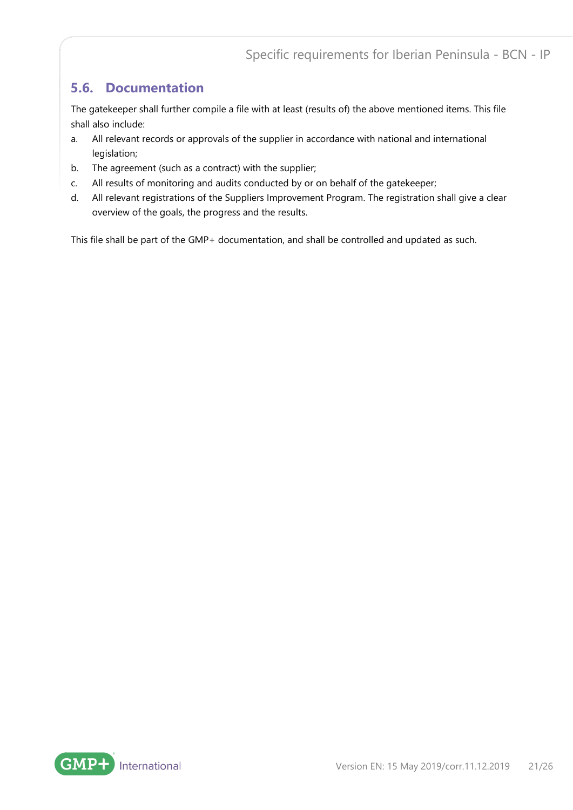### <span id="page-20-0"></span>**5.6. Documentation**

The gatekeeper shall further compile a file with at least (results of) the above mentioned items. This file shall also include:

- a. All relevant records or approvals of the supplier in accordance with national and international legislation;
- b. The agreement (such as a contract) with the supplier;
- c. All results of monitoring and audits conducted by or on behalf of the gatekeeper;
- d. All relevant registrations of the Suppliers Improvement Program. The registration shall give a clear overview of the goals, the progress and the results.

This file shall be part of the GMP+ documentation, and shall be controlled and updated as such.

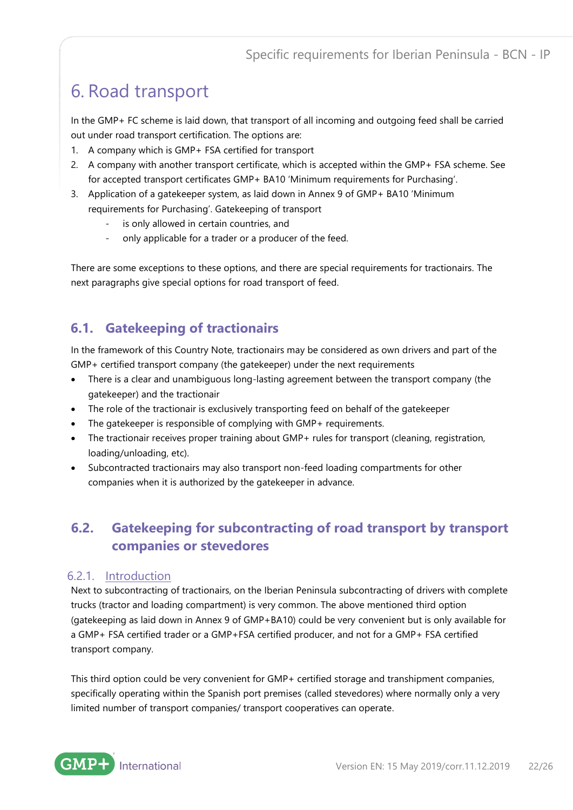## <span id="page-21-0"></span>6. Road transport

In the GMP+ FC scheme is laid down, that transport of all incoming and outgoing feed shall be carried out under road transport certification. The options are:

- 1. A company which is GMP+ FSA certified for transport
- 2. A company with another transport certificate, which is accepted within the GMP+ FSA scheme. See for accepted transport certificates GMP+ BA10 'Minimum requirements for Purchasing'.
- 3. Application of a gatekeeper system, as laid down in Annex 9 of GMP+ BA10 'Minimum requirements for Purchasing'. Gatekeeping of transport
	- is only allowed in certain countries, and
	- only applicable for a trader or a producer of the feed.

There are some exceptions to these options, and there are special requirements for tractionairs. The next paragraphs give special options for road transport of feed.

## <span id="page-21-1"></span>**6.1. Gatekeeping of tractionairs**

In the framework of this Country Note, tractionairs may be considered as own drivers and part of the GMP+ certified transport company (the gatekeeper) under the next requirements

- There is a clear and unambiguous long-lasting agreement between the transport company (the gatekeeper) and the tractionair
- The role of the tractionair is exclusively transporting feed on behalf of the gatekeeper
- The gatekeeper is responsible of complying with GMP+ requirements.
- The tractionair receives proper training about GMP+ rules for transport (cleaning, registration, loading/unloading, etc).
- Subcontracted tractionairs may also transport non-feed loading compartments for other companies when it is authorized by the gatekeeper in advance.

## <span id="page-21-2"></span>**6.2. Gatekeeping for subcontracting of road transport by transport companies or stevedores**

#### <span id="page-21-3"></span>6.2.1. Introduction

Next to subcontracting of tractionairs, on the Iberian Peninsula subcontracting of drivers with complete trucks (tractor and loading compartment) is very common. The above mentioned third option (gatekeeping as laid down in Annex 9 of GMP+BA10) could be very convenient but is only available for a GMP+ FSA certified trader or a GMP+FSA certified producer, and not for a GMP+ FSA certified transport company.

This third option could be very convenient for GMP+ certified storage and transhipment companies, specifically operating within the Spanish port premises (called stevedores) where normally only a very limited number of transport companies/ transport cooperatives can operate.

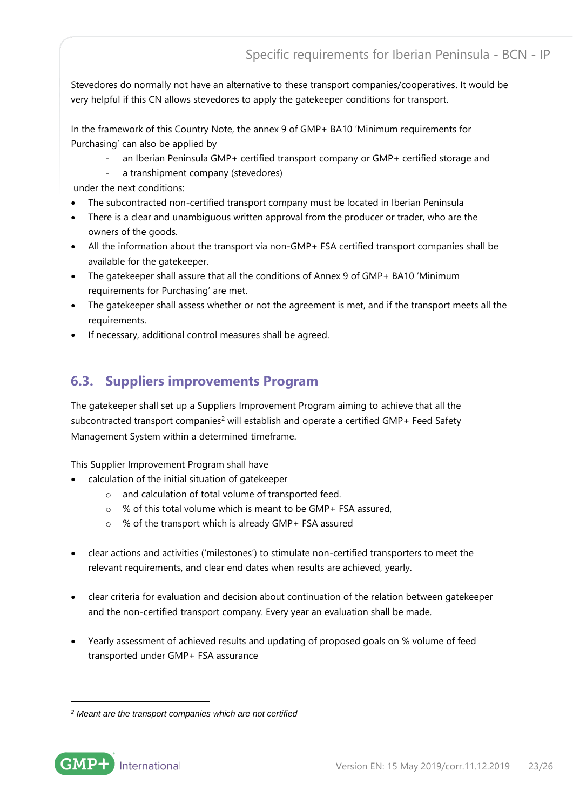Stevedores do normally not have an alternative to these transport companies/cooperatives. It would be very helpful if this CN allows stevedores to apply the gatekeeper conditions for transport.

In the framework of this Country Note, the annex 9 of GMP+ BA10 'Minimum requirements for Purchasing' can also be applied by

- an Iberian Peninsula GMP+ certified transport company or GMP+ certified storage and
- a transhipment company (stevedores)

under the next conditions:

- The subcontracted non-certified transport company must be located in Iberian Peninsula
- There is a clear and unambiguous written approval from the producer or trader, who are the owners of the goods.
- All the information about the transport via non-GMP+ FSA certified transport companies shall be available for the gatekeeper.
- The gatekeeper shall assure that all the conditions of Annex 9 of GMP+ BA10 'Minimum requirements for Purchasing' are met.
- The gatekeeper shall assess whether or not the agreement is met, and if the transport meets all the requirements.
- If necessary, additional control measures shall be agreed.

## <span id="page-22-0"></span>**6.3. Suppliers improvements Program**

The gatekeeper shall set up a Suppliers Improvement Program aiming to achieve that all the subcontracted transport companies<sup>2</sup> will establish and operate a certified GMP+ Feed Safety Management System within a determined timeframe.

This Supplier Improvement Program shall have

- calculation of the initial situation of gatekeeper
	- o and calculation of total volume of transported feed.
	- o % of this total volume which is meant to be GMP+ FSA assured,
	- o % of the transport which is already GMP+ FSA assured
- clear actions and activities ('milestones') to stimulate non-certified transporters to meet the relevant requirements, and clear end dates when results are achieved, yearly.
- clear criteria for evaluation and decision about continuation of the relation between gatekeeper and the non-certified transport company. Every year an evaluation shall be made.
- Yearly assessment of achieved results and updating of proposed goals on % volume of feed transported under GMP+ FSA assurance

*<sup>2</sup> Meant are the transport companies which are not certified*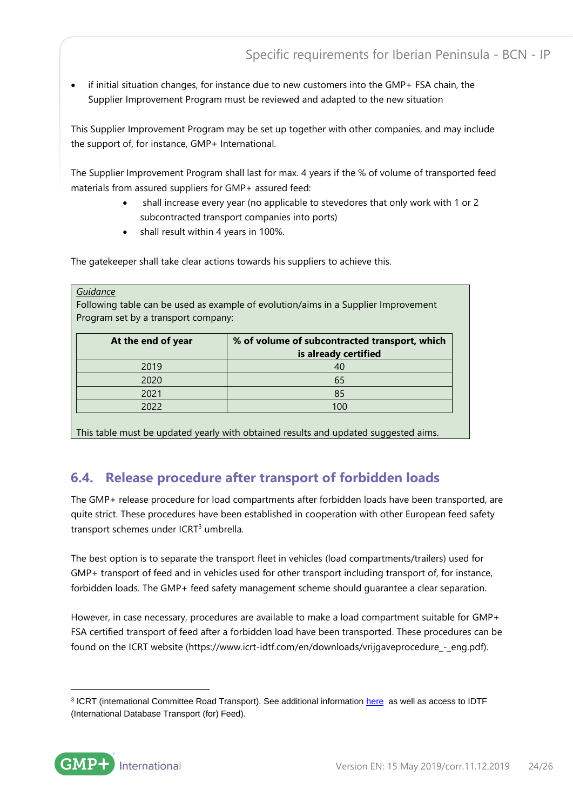• if initial situation changes, for instance due to new customers into the GMP+ FSA chain, the Supplier Improvement Program must be reviewed and adapted to the new situation

This Supplier Improvement Program may be set up together with other companies, and may include the support of, for instance, GMP+ International.

The Supplier Improvement Program shall last for max. 4 years if the % of volume of transported feed materials from assured suppliers for GMP+ assured feed:

- shall increase every year (no applicable to stevedores that only work with 1 or 2 subcontracted transport companies into ports)
- shall result within 4 years in 100%.

The gatekeeper shall take clear actions towards his suppliers to achieve this.

#### *Guidance*

Following table can be used as example of evolution/aims in a Supplier Improvement Program set by a transport company:

| At the end of year | % of volume of subcontracted transport, which<br>is already certified |
|--------------------|-----------------------------------------------------------------------|
| 2019               | 40                                                                    |
| 2020               | 65                                                                    |
| 2021               | 85                                                                    |
| 2022               | 100                                                                   |

This table must be updated yearly with obtained results and updated suggested aims.

## <span id="page-23-0"></span>**6.4. Release procedure after transport of forbidden loads**

The GMP+ release procedure for load compartments after forbidden loads have been transported, are quite strict. These procedures have been established in cooperation with other European feed safety transport schemes under ICRT<sup>3</sup> umbrella.

The best option is to separate the transport fleet in vehicles (load compartments/trailers) used for GMP+ transport of feed and in vehicles used for other transport including transport of, for instance, forbidden loads. The GMP+ feed safety management scheme should guarantee a clear separation.

However, in case necessary, procedures are available to make a load compartment suitable for GMP+ FSA certified transport of feed after a forbidden load have been transported. These procedures can be found on the ICRT website (https://www.icrt-idtf.com/en/downloads/vrijgaveprocedure\_-\_eng.pdf).

<sup>&</sup>lt;sup>3</sup> ICRT (international Committee Road Transport). See additional informatio[n here](https://www.gmpplus.org/en/services/international-database-transport-for-feed/) as well as access to IDTF (International Database Transport (for) Feed).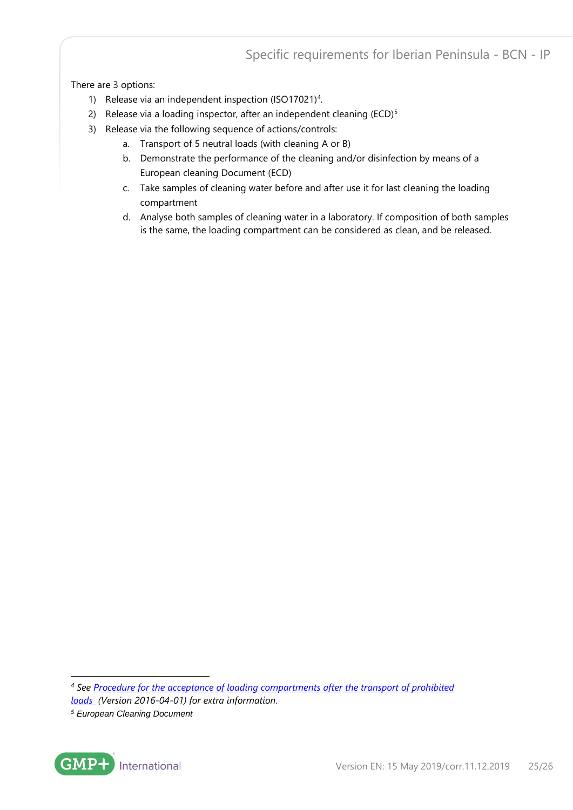There are 3 options:

- 1) Release via an independent inspection (ISO17021)<sup>4</sup>.
- 2) Release via a loading inspector, after an independent cleaning (ECD)<sup>5</sup>
- 3) Release via the following sequence of actions/controls:
	- a. Transport of 5 neutral loads (with cleaning A or B)
	- b. Demonstrate the performance of the cleaning and/or disinfection by means of a European cleaning Document (ECD)
	- c. Take samples of cleaning water before and after use it for last cleaning the loading compartment
	- d. Analyse both samples of cleaning water in a laboratory. If composition of both samples is the same, the loading compartment can be considered as clean, and be released.

*<sup>5</sup> European Cleaning Document*



*<sup>4</sup> See [Procedure for the acceptance of loading compartments after the transport of prohibited](https://www.icrt-idtf.com/en/downloads/vrijgaveprocedure_-_eng.pdf)  [loads](https://www.icrt-idtf.com/en/downloads/vrijgaveprocedure_-_eng.pdf) (Version 2016-04-01) for extra information.*